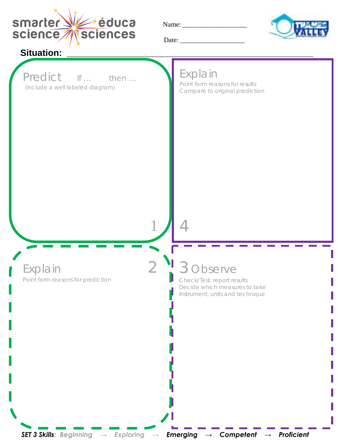